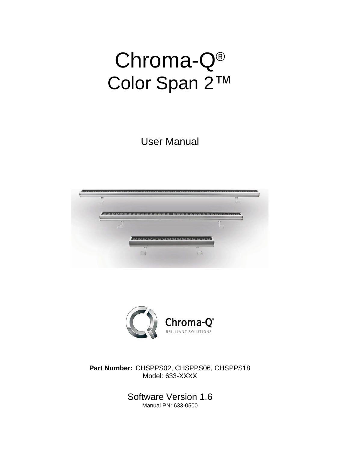# Chroma-Q® Color Span 2™

User Manual





**Part Number:** CHSPPS02, CHSPPS06, CHSPPS18 Model: 633-XXXX

> Software Version 1.6 Manual PN: 633-0500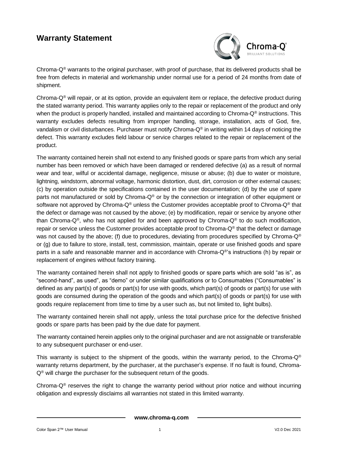#### **Warranty Statement**



Chroma- $Q^{\circ}$  warrants to the original purchaser, with proof of purchase, that its delivered products shall be free from defects in material and workmanship under normal use for a period of 24 months from date of shipment.

Chroma- $Q^{\circ}$  will repair, or at its option, provide an equivalent item or replace, the defective product during the stated warranty period. This warranty applies only to the repair or replacement of the product and only when the product is properly handled, installed and maintained according to Chroma- $Q^{\circ}$  instructions. This warranty excludes defects resulting from improper handling, storage, installation, acts of God, fire, vandalism or civil disturbances. Purchaser must notify Chroma-Q® in writing within 14 days of noticing the defect. This warranty excludes field labour or service charges related to the repair or replacement of the product.

The warranty contained herein shall not extend to any finished goods or spare parts from which any serial number has been removed or which have been damaged or rendered defective (a) as a result of normal wear and tear, wilful or accidental damage, negligence, misuse or abuse; (b) due to water or moisture, lightning, windstorm, abnormal voltage, harmonic distortion, dust, dirt, corrosion or other external causes; (c) by operation outside the specifications contained in the user documentation; (d) by the use of spare parts not manufactured or sold by Chroma-Q® or by the connection or integration of other equipment or software not approved by Chroma-Q<sup>®</sup> unless the Customer provides acceptable proof to Chroma-Q<sup>®</sup> that the defect or damage was not caused by the above; (e) by modification, repair or service by anyone other than Chroma-Q®, who has not applied for and been approved by Chroma-Q® to do such modification, repair or service unless the Customer provides acceptable proof to Chroma-Q® that the defect or damage was not caused by the above; (f) due to procedures, deviating from procedures specified by Chroma- $Q^{\circ}$ or (g) due to failure to store, install, test, commission, maintain, operate or use finished goods and spare parts in a safe and reasonable manner and in accordance with Chroma-Q®'s instructions (h) by repair or replacement of engines without factory training.

The warranty contained herein shall not apply to finished goods or spare parts which are sold "as is", as "second-hand", as used", as "demo" or under similar qualifications or to Consumables ("Consumables" is defined as any part(s) of goods or part(s) for use with goods, which part(s) of goods or part(s) for use with goods are consumed during the operation of the goods and which part(s) of goods or part(s) for use with goods require replacement from time to time by a user such as, but not limited to, light bulbs).

The warranty contained herein shall not apply, unless the total purchase price for the defective finished goods or spare parts has been paid by the due date for payment.

The warranty contained herein applies only to the original purchaser and are not assignable or transferable to any subsequent purchaser or end-user.

This warranty is subject to the shipment of the goods, within the warranty period, to the Chroma- $Q^{\circledast}$ warranty returns department, by the purchaser, at the purchaser's expense. If no fault is found, Chroma- $Q^{\circledast}$  will charge the purchaser for the subsequent return of the goods.

Chroma- $Q^{\otimes}$  reserves the right to change the warranty period without prior notice and without incurring obligation and expressly disclaims all warranties not stated in this limited warranty.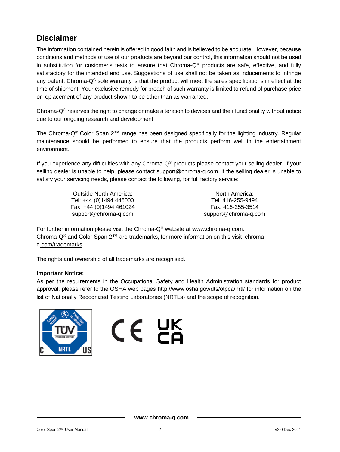## **Disclaimer**

The information contained herein is offered in good faith and is believed to be accurate. However, because conditions and methods of use of our products are beyond our control, this information should not be used in substitution for customer's tests to ensure that Chroma-Q® products are safe, effective, and fully satisfactory for the intended end use. Suggestions of use shall not be taken as inducements to infringe any patent. Chroma-Q<sup>®</sup> sole warranty is that the product will meet the sales specifications in effect at the time of shipment. Your exclusive remedy for breach of such warranty is limited to refund of purchase price or replacement of any product shown to be other than as warranted.

Chroma- $Q^{\circ}$  reserves the right to change or make alteration to devices and their functionality without notice due to our ongoing research and development.

The Chroma-Q® Color Span 2™ range has been designed specifically for the lighting industry. Regular maintenance should be performed to ensure that the products perform well in the entertainment environment.

If you experience any difficulties with any Chroma-Q® products please contact your selling dealer. If your selling dealer is unable to help, please contact support@chroma-q.com. If the selling dealer is unable to satisfy your servicing needs, please contact the following, for full factory service:

> Outside North America: Tel: +44 (0)1494 446000 Fax: +44 (0)1494 461024 support@chroma-q.com

North America: Tel: 416-255-9494 Fax: 416-255-3514 support@chroma-q.com

For further information please visit the Chroma- $Q^{\circledast}$  website at www.chroma-q.com. Chroma-Q® and Color Span 2™ are trademarks, for more information on this visit [chroma](http://www.chroma-q.com/trademarks)[q.com/trademarks.](http://www.chroma-q.com/trademarks)

The rights and ownership of all trademarks are recognised.

#### **Important Notice:**

As per the requirements in the Occupational Safety and Health Administration standards for product approval, please refer to the OSHA web pages<http://www.osha.gov/dts/otpca/nrtl/> for information on the list of Nationally Recognized Testing Laboratories (NRTLs) and the scope of recognition.



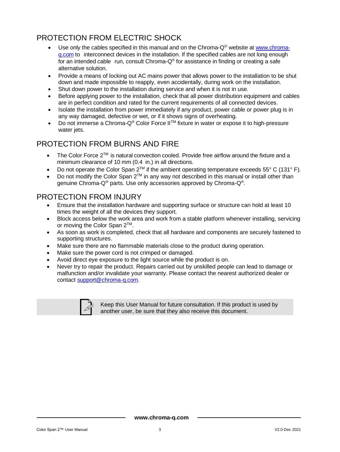## PROTECTION FROM ELECTRIC SHOCK

- Use only the cables specified in this manual and on the Chroma- $Q^{\circledast}$  website at [www.chroma](http://www.chroma-q.com/)[q.com](http://www.chroma-q.com/) to interconnect devices in the installation. If the specified cables are not long enough for an intended cable  $\,$  run, consult Chroma-Q $^{\circ}$  for assistance in finding or creating a safe alternative solution.
- Provide a means of locking out AC mains power that allows power to the installation to be shut down and made impossible to reapply, even accidentally, during work on the installation.
- Shut down power to the installation during service and when it is not in use.
- Before applying power to the installation, check that all power distribution equipment and cables are in perfect condition and rated for the current requirements of all connected devices.
- Isolate the installation from power immediately if any product, power cable or power plug is in any way damaged, defective or wet, or if it shows signs of overheating.
- Do not immerse a Chroma-Q® Color Force IITM fixture in water or expose it to high-pressure water jets.

## PROTECTION FROM BURNS AND FIRE

- The Color Force  $2^{TM}$  is natural convection cooled. Provide free airflow around the fixture and a minimum clearance of 10 mm (0.4 in.) in all directions.
- Do not operate the Color Span  $2^{TM}$  if the ambient operating temperature exceeds 55° C (131° F).
- Do not modify the Color Span  $2^{TM}$  in any way not described in this manual or install other than genuine Chroma-Q® parts. Use only accessories approved by Chroma-Q®.

#### PROTECTION FROM INJURY

- Ensure that the installation hardware and supporting surface or structure can hold at least 10 times the weight of all the devices they support.
- Block access below the work area and work from a stable platform whenever installing, servicing or moving the Color Span 2<sup>™</sup>.
- As soon as work is completed, check that all hardware and components are securely fastened to supporting structures.
- Make sure there are no flammable materials close to the product during operation.
- Make sure the power cord is not crimped or damaged.
- Avoid direct eye exposure to the light source while the product is on.
- Never try to repair the product. Repairs carried out by unskilled people can lead to damage or malfunction and/or invalidate your warranty. Please contact the nearest authorized dealer or contact [support@chroma-q.com.](mailto:support@chroma-q.com)



Keep this User Manual for future consultation. If this product is used by another user, be sure that they also receive this document.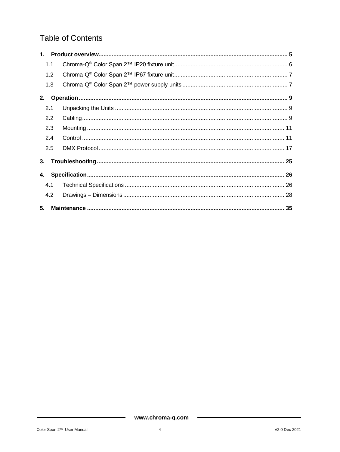## **Table of Contents**

| 1.1 |     |  |
|-----|-----|--|
| 1.2 |     |  |
|     | 1.3 |  |
| 2.  |     |  |
| 2.1 |     |  |
| 2.2 |     |  |
| 2.3 |     |  |
| 2.4 |     |  |
| 2.5 |     |  |
| 3.  |     |  |
|     |     |  |
| 4.1 |     |  |
| 4.2 |     |  |
| 5.  |     |  |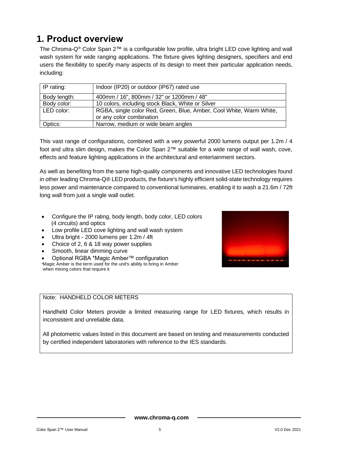# <span id="page-5-0"></span>**1. Product overview**

The Chroma-Q® Color Span 2™ is a configurable low profile, ultra bright LED cove lighting and wall wash system for wide ranging applications. The fixture gives lighting designers, specifiers and end users the flexibility to specify many aspects of its design to meet their particular application needs, including:

| IP rating:                                               | Indoor (IP20) or outdoor (IP67) rated use                                                       |
|----------------------------------------------------------|-------------------------------------------------------------------------------------------------|
| 400mm / 16", 800mm / 32" or 1200mm / 48"<br>Body length: |                                                                                                 |
| Body color:                                              | 10 colors, including stock Black, White or Silver                                               |
| LED color:                                               | RGBA, single color Red, Green, Blue, Amber, Cool White, Warm White,<br>or any color combination |
| Optics:                                                  | Narrow, medium or wide beam angles                                                              |

This vast range of configurations, combined with a very powerful 2000 lumens output per 1.2m / 4 foot and ultra slim design, makes the Color Span 2™ suitable for a wide range of wall wash, cove, effects and feature lighting applications in the architectural and entertainment sectors.

As well as benefiting from the same high-quality components and innovative LED technologies found in other leading Chroma-Q® LED products, the fixture's highly efficient solid-state technology requires less power and maintenance compared to conventional luminaires, enabling it to wash a 21.6m / 72ft long wall from just a single wall outlet.

- Configure the IP rating, body length, body color, LED colors (4 circuits) and optics
- Low profile LED cove lighting and wall wash system
- Ultra bright 2000 lumens per 1.2m / 4ft
- Choice of 2, 6 & 18 way power supplies
- Smooth, linear dimming curve
- Optional RGBA \*Magic Amber™ configuration

\*Magic Amber is the term used for the unit's ability to bring in Amber when mixing colors that require it

#### Note: HANDHELD COLOR METERS

Handheld Color Meters provide a limited measuring range for LED fixtures, which results in inconsistent and unreliable data.

All photometric values listed in this document are based on testing and measurements conducted by certified independent laboratories with reference to the IES standards.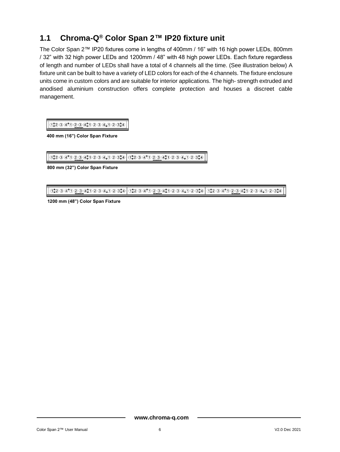## <span id="page-6-0"></span>**1.1 Chroma-Q® Color Span 2™ IP20 fixture unit**

The Color Span 2™ IP20 fixtures come in lengths of 400mm / 16" with 16 high power LEDs, 800mm / 32" with 32 high power LEDs and 1200mm / 48" with 48 high power LEDs. Each fixture regardless of length and number of LEDs shall have a total of 4 channels all the time. (See illustration below) A fixture unit can be built to have a variety of LED colors for each of the 4 channels. The fixture enclosure units come in custom colors and are suitable for interior applications. The high- strength extruded and anodised aluminium construction offers complete protection and houses a discreet cable management.

 $(12030)^{4} (120304)^{4} (120304)^{4} (120304)^{4}$ 

**400 mm (16") Color Span Fixture**

1:2340234023402340234 1:234023402340234023

**800 mm (32") Color Span Fixture**

(1) 2 3 4 1 0 2 3 4 1 0 3 4 1 2 3 4 1 2 3 4 1 0 2 3 4 1 2 3 4 1 2 3 4 1 2 3 4 1 2 3 4 1 2 3 4 1 2 3 4

**1200 mm (48") Color Span Fixture**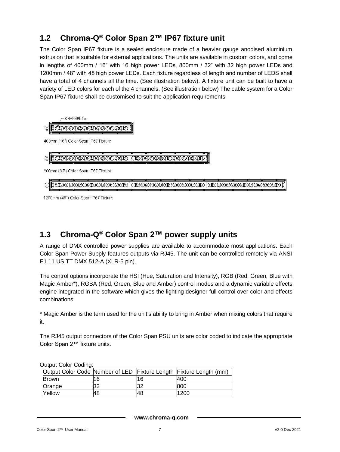## <span id="page-7-0"></span>**1.2 Chroma-Q® Color Span 2™ IP67 fixture unit**

The Color Span IP67 fixture is a sealed enclosure made of a heavier gauge anodised aluminium extrusion that is suitable for external applications. The units are available in custom colors, and come in lengths of 400mm / 16" with 16 high power LEDs, 800mm / 32" with 32 high power LEDs and 1200mm / 48" with 48 high power LEDs. Each fixture regardless of length and number of LEDS shall have a total of 4 channels all the time. (See illustration below). A fixture unit can be built to have a variety of LED colors for each of the 4 channels. (See illustration below) The cable system for a Color Span IP67 fixture shall be customised to suit the application requirements.



1200mm (48") Color Span IP67 Fixture

## <span id="page-7-1"></span>**1.3 Chroma-Q® Color Span 2™ power supply units**

A range of DMX controlled power supplies are available to accommodate most applications. Each Color Span Power Supply features outputs via RJ45. The unit can be controlled remotely via ANSI E1.11 USITT DMX 512-A (XLR-5 pin).

The control options incorporate the HSI (Hue, Saturation and Intensity), RGB (Red, Green, Blue with Magic Amber\*), RGBA (Red, Green, Blue and Amber) control modes and a dynamic variable effects engine integrated in the software which gives the lighting designer full control over color and effects combinations.

\* Magic Amber is the term used for the unit's ability to bring in Amber when mixing colors that require it.

The RJ45 output connectors of the Color Span PSU units are color coded to indicate the appropriate Color Span 2™ fixture units.

| <b>OUIDUL OUIDI COUIHU.</b> |    |    |                                                                    |  |  |  |  |
|-----------------------------|----|----|--------------------------------------------------------------------|--|--|--|--|
|                             |    |    | Output Color Code Number of LED Fixture Length Fixture Length (mm) |  |  |  |  |
| <b>Brown</b>                | 16 | 16 | 400                                                                |  |  |  |  |
| Orange                      | 32 |    | 800                                                                |  |  |  |  |
| <b>Nellow</b>               | 48 | 48 | 1200                                                               |  |  |  |  |

Output Color Coding:

**www.chroma-q.com**

#### Color Span 2™ User Manual 7 V2.0 Dec 2021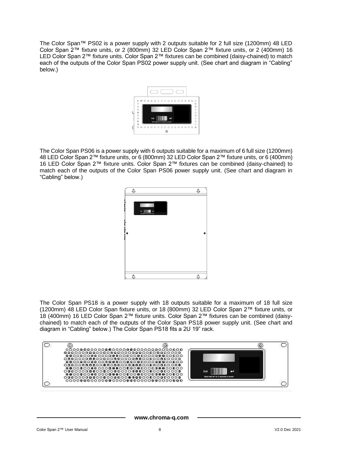The Color Span™ PS02 is a power supply with 2 outputs suitable for 2 full size (1200mm) 48 LED Color Span 2™ fixture units, or 2 (800mm) 32 LED Color Span 2™ fixture units, or 2 (400mm) 16 LED Color Span 2™ fixture units. Color Span 2™ fixtures can be combined (daisy-chained) to match each of the outputs of the Color Span PS02 power supply unit. (See chart and diagram in "Cabling" below.)



The Color Span PS06 is a power supply with 6 outputs suitable for a maximum of 6 full size (1200mm) 48 LED Color Span 2™ fixture units, or 6 (800mm) 32 LED Color Span 2™ fixture units, or 6 (400mm) 16 LED Color Span 2™ fixture units. Color Span 2™ fixtures can be combined (daisy-chained) to match each of the outputs of the Color Span PS06 power supply unit. (See chart and diagram in "Cabling" below.)



The Color Span PS18 is a power supply with 18 outputs suitable for a maximum of 18 full size (1200mm) 48 LED Color Span fixture units, or 18 (800mm) 32 LED Color Span 2™ fixture units, or 18 (400mm) 16 LED Color Span 2™ fixture units. Color Span 2™ fixtures can be combined (daisychained) to match each of the outputs of the Color Span PS18 power supply unit. (See chart and diagram in "Cabling" below.) The Color Span PS18 fits a 2U 19" rack.

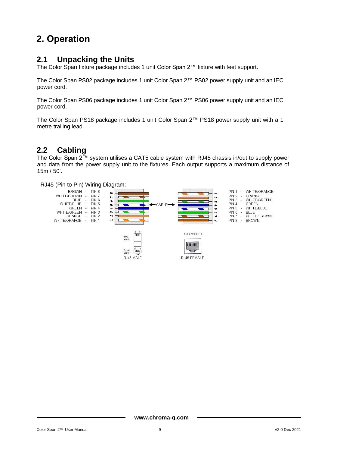# <span id="page-9-0"></span>**2. Operation**

## <span id="page-9-1"></span>**2.1 Unpacking the Units**

The Color Span fixture package includes 1 unit Color Span 2™ fixture with feet support.

The Color Span PS02 package includes 1 unit Color Span 2™ PS02 power supply unit and an IEC power cord.

The Color Span PS06 package includes 1 unit Color Span 2™ PS06 power supply unit and an IEC power cord.

The Color Span PS18 package includes 1 unit Color Span 2™ PS18 power supply unit with a 1 metre trailing lead.

## <span id="page-9-2"></span>**2.2 Cabling**

The Color Span 2™ system utilises a CAT5 cable system with RJ45 chassis in/out to supply power and data from the power supply unit to the fixtures. Each output supports a maximum distance of 15m / 50'.

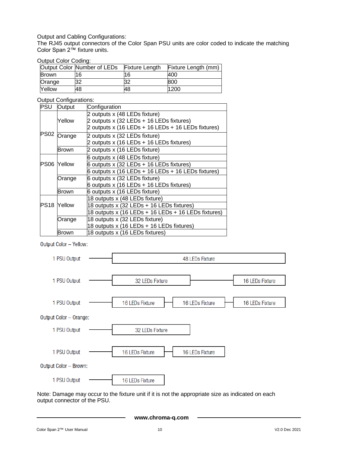#### Output and Cabling Configurations:

The RJ45 output connectors of the Color Span PSU units are color coded to indicate the matching Color Span 2™ fixture units.

#### Output Color Coding:

|              | Output Color Number of LEDs | <b>Fixture Length</b> | Fixture Length (mm) |
|--------------|-----------------------------|-----------------------|---------------------|
| <b>Brown</b> | 16                          | 16                    | 400                 |
| Orange       | 32                          | 32                    | 800                 |
| Yellow       | 48                          | 48                    | 1200                |

#### Output Configurations:

| <b>PSU</b>  | Output<br>Configuration |                                                      |
|-------------|-------------------------|------------------------------------------------------|
|             |                         | 2 outputs x (48 LEDs fixture)                        |
|             | Yellow                  | 2 outputs x (32 LEDs + 16 LEDs fixtures)             |
|             |                         | 2 outputs x (16 LEDs + 16 LEDs + 16 LEDs fixtures)   |
| <b>PS02</b> | Orange                  | 2 outputs x (32 LEDs fixture)                        |
|             |                         | 2 outputs x (16 LEDs + 16 LEDs fixtures)             |
|             | Brown                   | 2 outputs x (16 LEDs fixture)                        |
|             |                         | 6 outputs x (48 LEDs fixture)                        |
| <b>PS06</b> | Yellow                  | 6 outputs $x$ (32 LEDs + 16 LEDs fixtures)           |
|             |                         | $6$ outputs x (16 LEDs + 16 LEDs + 16 LEDs fixtures) |
|             | Orange                  | 6 outputs x (32 LEDs fixture)                        |
|             |                         | 6 outputs x (16 LEDs + 16 LEDs fixtures)             |
|             | Brown                   | 6 outputs x (16 LEDs fixture)                        |
|             |                         | 18 outputs x (48 LEDs fixture)                       |
|             | <b>PS18 Yellow</b>      | 18 outputs x (32 LEDs + 16 LEDs fixtures)            |
|             |                         | 18 outputs x (16 LEDs + 16 LEDs + 16 LEDs fixtures)  |
|             | Orange                  | 18 outputs x (32 LEDs fixture)                       |
|             |                         | 18 outputs x (16 LEDs + 16 LEDs fixtures)            |
|             | Brown                   | 18 outputs x (16 LEDs fixtures)                      |

Output Color - Yellow:



Note: Damage may occur to the fixture unit if it is not the appropriate size as indicated on each output connector of the PSU.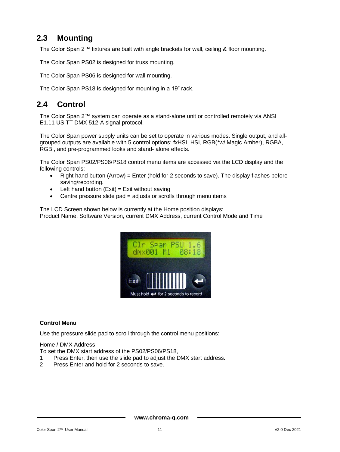## <span id="page-11-0"></span>**2.3 Mounting**

The Color Span 2™ fixtures are built with angle brackets for wall, ceiling & floor mounting.

The Color Span PS02 is designed for truss mounting.

The Color Span PS06 is designed for wall mounting.

The Color Span PS18 is designed for mounting in a 19" rack.

### <span id="page-11-1"></span>**2.4 Control**

The Color Span 2™ system can operate as a stand-alone unit or controlled remotely via ANSI E1.11 USITT DMX 512-A signal protocol.

The Color Span power supply units can be set to operate in various modes. Single output, and allgrouped outputs are available with 5 control options: fxHSI, HSI, RGB(\*w/ Magic Amber), RGBA, RGBI, and pre-programmed looks and stand- alone effects.

The Color Span PS02/PS06/PS18 control menu items are accessed via the LCD display and the following controls:

- Right hand button (Arrow) = Enter (hold for 2 seconds to save). The display flashes before saving/recording.
- Left hand button  $(Exit) = Exist$  without saving
- Centre pressure slide pad = adjusts or scrolls through menu items

The LCD Screen shown below is currently at the Home position displays: Product Name, Software Version, current DMX Address, current Control Mode and Time



#### **Control Menu**

Use the pressure slide pad to scroll through the control menu positions:

Home / DMX Address

To set the DMX start address of the PS02/PS06/PS18,

- 1 Press Enter, then use the slide pad to adjust the DMX start address.
- 2 Press Enter and hold for 2 seconds to save.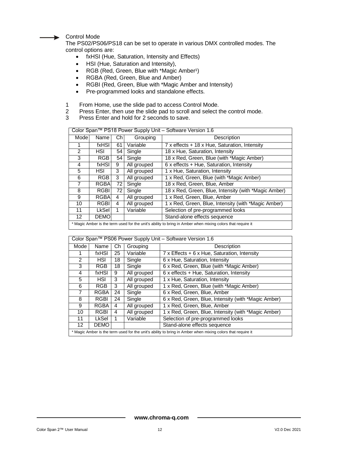Control Mode

The PS02/PS06/PS18 can be set to operate in various DMX controlled modes. The control options are:

- fxHSI (Hue, Saturation, Intensity and Effects)
- HSI (Hue, Saturation and Intensity),
- RGB (Red, Green, Blue with \*Magic Amber<sup>1</sup>)
- RGBA (Red, Green, Blue and Amber)
- RGBI (Red, Green, Blue with \*Magic Amber and Intensity)
- Pre-programmed looks and standalone effects.
- 1 From Home, use the slide pad to access Control Mode.<br>2 Press Enter, then use the slide pad to scroll and select to
- Press Enter, then use the slide pad to scroll and select the control mode.
- 3 Press Enter and hold for 2 seconds to save.

| Color Span™ PS18 Power Supply Unit – Software Version 1.6                                                  |                                                                  |                                               |             |                                                      |
|------------------------------------------------------------------------------------------------------------|------------------------------------------------------------------|-----------------------------------------------|-------------|------------------------------------------------------|
| Mode                                                                                                       | Description<br>Name<br>Ch<br>Grouping                            |                                               |             |                                                      |
|                                                                                                            | fxHSI                                                            | 61                                            | Variable    | 7 x effects + 18 x Hue, Saturation, Intensity        |
| $\mathcal{P}$                                                                                              | HSI                                                              | 54                                            | Single      | 18 x Hue, Saturation, Intensity                      |
| 3                                                                                                          | 18 x Red, Green, Blue (with *Magic Amber)<br>RGB<br>Single<br>54 |                                               |             |                                                      |
| $6x$ effects + Hue, Saturation, Intensity<br>fxHSI<br>All grouped<br>4<br>9                                |                                                                  |                                               |             |                                                      |
| 5                                                                                                          | HSI                                                              | 3                                             | All grouped | 1 x Hue, Saturation, Intensity                       |
| 6                                                                                                          | RGB                                                              | 3                                             | All grouped | 1 x Red, Green, Blue (with *Magic Amber)             |
| 7                                                                                                          | RGBA                                                             | 72                                            | Single      | 18 x Red, Green, Blue, Amber                         |
| 8                                                                                                          | <b>RGBI</b>                                                      | 72                                            | Single      | 18 x Red, Green, Blue, Intensity (with *Magic Amber) |
| 9                                                                                                          | RGBA                                                             | 4                                             | All grouped | 1 x Red, Green, Blue, Amber                          |
| 10                                                                                                         | <b>RGBI</b>                                                      | 4                                             | All grouped | 1 x Red, Green, Blue, Intensity (with *Magic Amber)  |
| 11                                                                                                         | <b>LkSel</b>                                                     | Variable<br>Selection of pre-programmed looks |             |                                                      |
| Stand-alone effects sequence<br><b>DEMO</b><br>12                                                          |                                                                  |                                               |             |                                                      |
| * Magic Amber is the term used for the unit's ability to bring in Amber when mixing colors that require it |                                                                  |                                               |             |                                                      |

| Color Span™ PS06 Power Supply Unit - Software Version 1.6                                                  |                                                                                |             |             |                                                     |  |
|------------------------------------------------------------------------------------------------------------|--------------------------------------------------------------------------------|-------------|-------------|-----------------------------------------------------|--|
| Mode<br>Grouping<br>Name<br>Ch                                                                             |                                                                                | Description |             |                                                     |  |
|                                                                                                            | $7 \times$ Effects + 6 x Hue, Saturation, Intensity<br>25<br>Variable<br>fxHSI |             |             |                                                     |  |
| 2                                                                                                          | HSI                                                                            | 18          | Single      | 6 x Hue, Saturation, Intensity                      |  |
| 3                                                                                                          | RGB.                                                                           | 18          | Single      | 6 x Red, Green, Blue (with *Magic Amber)            |  |
| $6x$ effects + Hue, Saturation, Intensity<br>fxHSI<br>All grouped<br>4<br>9                                |                                                                                |             |             |                                                     |  |
| 5<br>1 x Hue, Saturation, Intensity<br>HSI<br>All grouped<br>3                                             |                                                                                |             |             |                                                     |  |
| 6                                                                                                          | <b>RGB</b>                                                                     | 3           | All grouped | 1 x Red, Green, Blue (with *Magic Amber)            |  |
| 7                                                                                                          | <b>RGBA</b>                                                                    | 24          | Single      | 6 x Red, Green, Blue, Amber                         |  |
| 8                                                                                                          | RGBI                                                                           | 24          | Single      | 6 x Red, Green, Blue, Intensity (with *Magic Amber) |  |
| 9                                                                                                          | RGBA                                                                           | 4           | All grouped | 1 x Red, Green, Blue, Amber                         |  |
| 10                                                                                                         | RGBI                                                                           | 4           | All grouped | 1 x Red, Green, Blue, Intensity (with *Magic Amber) |  |
| Variable<br>Selection of pre-programmed looks<br>LkSel<br>11                                               |                                                                                |             |             |                                                     |  |
| Stand-alone effects sequence<br><b>DEMO</b><br>12                                                          |                                                                                |             |             |                                                     |  |
| * Magic Amber is the term used for the unit's ability to bring in Amber when mixing colors that require it |                                                                                |             |             |                                                     |  |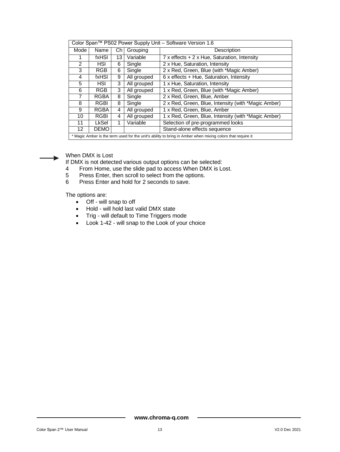| Color Span™ PS02 Power Supply Unit - Software Version 1.6                                                  |                                                             |    |             |                                                     |  |
|------------------------------------------------------------------------------------------------------------|-------------------------------------------------------------|----|-------------|-----------------------------------------------------|--|
| Mode<br>Name<br>Grouping<br>Сh                                                                             |                                                             |    | Description |                                                     |  |
|                                                                                                            | fxHSI                                                       | 13 | Variable    | $7x$ effects + 2 x Hue, Saturation, Intensity       |  |
| 2                                                                                                          | HSI                                                         | 6  | Single      | 2 x Hue, Saturation, Intensity                      |  |
| 3                                                                                                          | <b>RGB</b>                                                  | 6  | Single      | 2 x Red, Green, Blue (with *Magic Amber)            |  |
| 4                                                                                                          | fxHSI                                                       | 9  | All grouped | $6x$ effects + Hue, Saturation, Intensity           |  |
| 5                                                                                                          | 1 x Hue, Saturation, Intensity<br>HSI<br>3<br>All grouped   |    |             |                                                     |  |
| 6                                                                                                          | <b>RGB</b>                                                  | 3  | All grouped | 1 x Red, Green, Blue (with *Magic Amber)            |  |
| 7                                                                                                          | <b>RGBA</b>                                                 | 8  | Single      | 2 x Red, Green, Blue, Amber                         |  |
| 8                                                                                                          | <b>RGBI</b>                                                 | 8  | Single      | 2 x Red, Green, Blue, Intensity (with *Magic Amber) |  |
| 9                                                                                                          | RGBA                                                        | 4  | All grouped | 1 x Red, Green, Blue, Amber                         |  |
| 10                                                                                                         | <b>RGBI</b>                                                 | 4  | All grouped | 1 x Red, Green, Blue, Intensity (with *Magic Amber) |  |
| 11                                                                                                         | Variable<br>LkSel<br>Selection of pre-programmed looks<br>1 |    |             |                                                     |  |
| Stand-alone effects sequence<br><b>DEMO</b><br>12                                                          |                                                             |    |             |                                                     |  |
| * Magic Amber is the term used for the unit's ability to bring in Amber when mixing colors that require it |                                                             |    |             |                                                     |  |



When DMX is Lost

If DMX is not detected various output options can be selected:<br>4 From Home, use the slide pad to access When DMX is Lo

- 4 From Home, use the slide pad to access When DMX is Lost.<br>5 Press Enter, then scroll to select from the options.
- 5 Press Enter, then scroll to select from the options.<br>6 Press Enter and hold for 2 seconds to save.
- Press Enter and hold for 2 seconds to save.

The options are:

- Off will snap to off
- Hold will hold last valid DMX state
- Trig will default to Time Triggers mode
- Look 1-42 will snap to the Look of your choice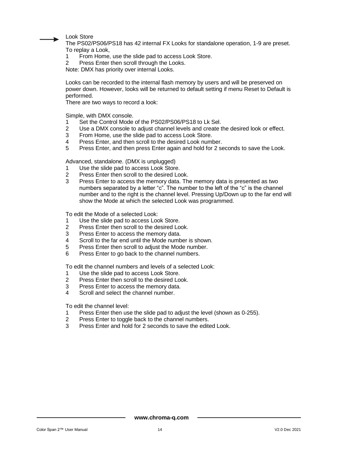Look Store

The PS02/PS06/PS18 has 42 internal FX Looks for standalone operation, 1-9 are preset. To replay a Look,

- 1 From Home, use the slide pad to access Look Store.<br>2 Press Enter then scroll through the Looks.
- Press Enter then scroll through the Looks.

Note: DMX has priority over internal Looks.

Looks can be recorded to the internal flash memory by users and will be preserved on power down. However, looks will be returned to default setting if menu Reset to Default is performed.

There are two ways to record a look:

Simple, with DMX console.

- 1 Set the Control Mode of the PS02/PS06/PS18 to Lk Sel.<br>2 Use a DMX console to adjust channel levels and create to
- 2 Use a DMX console to adjust channel levels and create the desired look or effect.<br>3 From Home, use the slide pad to access Look Store.
- From Home, use the slide pad to access Look Store.
- 4 Press Enter, and then scroll to the desired Look number.
- 5 Press Enter, and then press Enter again and hold for 2 seconds to save the Look.

Advanced, standalone. (DMX is unplugged)

- 1 Use the slide pad to access Look Store.<br>2 Press Enter then scroll to the desired Loo
- Press Enter then scroll to the desired Look.
- 3 Press Enter to access the memory data. The memory data is presented as two numbers separated by a letter "c". The number to the left of the "c" is the channel number and to the right is the channel level. Pressing Up/Down up to the far end will show the Mode at which the selected Look was programmed.

To edit the Mode of a selected Look:

- 1 Use the slide pad to access Look Store.
- 2 Press Enter then scroll to the desired Look.<br>3 Press Enter to access the memory data
- 3 Press Enter to access the memory data.<br>4 Scroll to the far end until the Mode numb
- Scroll to the far end until the Mode number is shown.
- 5 Press Enter then scroll to adjust the Mode number.<br>6 Press Enter to go back to the channel numbers
- Press Enter to go back to the channel numbers.

To edit the channel numbers and levels of a selected Look:

- 1 Use the slide pad to access Look Store.
- 2 Press Enter then scroll to the desired Look.
- 3 Press Enter to access the memory data.<br>4 Secoll and select the channel number
- Scroll and select the channel number.

To edit the channel level:

- 1 Press Enter then use the slide pad to adjust the level (shown as 0-255).
- 2 Press Enter to toggle back to the channel numbers.
- 3 Press Enter and hold for 2 seconds to save the edited Look.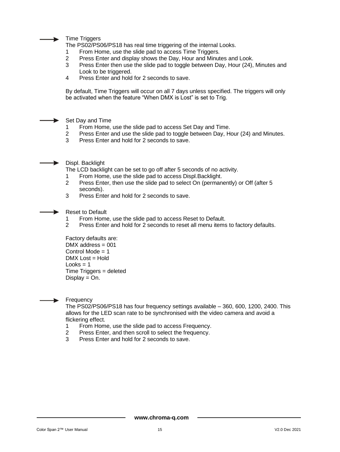

Time Triggers

The PS02/PS06/PS18 has real time triggering of the internal Looks.

- 1 From Home, use the slide pad to access Time Triggers.<br>2 Press Enter and display shows the Day. Hour and Minut
- 2 Press Enter and display shows the Day, Hour and Minutes and Look.<br>3 Press Enter then use the slide pad to toggle between Day, Hour (24)
- 3 Press Enter then use the slide pad to toggle between Day, Hour (24), Minutes and Look to be triggered.
- 4 Press Enter and hold for 2 seconds to save.

By default, Time Triggers will occur on all 7 days unless specified. The triggers will only be activated when the feature "When DMX is Lost" is set to Trig.



- 1 From Home, use the slide pad to access Set Day and Time.<br>2 Press Enter and use the slide pad to togale between Day. He
- 2 Press Enter and use the slide pad to toggle between Day, Hour (24) and Minutes.<br>3 Press Enter and hold for 2 seconds to save.
- Press Enter and hold for 2 seconds to save.
- Displ. Backlight

The LCD backlight can be set to go off after 5 seconds of no activity.

- 1 From Home, use the slide pad to access Displ.Backlight.<br>2 Press Enter then use the slide pad to select On (permane
- Press Enter, then use the slide pad to select On (permanently) or Off (after 5 seconds).
- 3 Press Enter and hold for 2 seconds to save.

Reset to Default

- 1 From Home, use the slide pad to access Reset to Default.<br>2 Press Enter and hold for 2 seconds to reset all menu items
- Press Enter and hold for 2 seconds to reset all menu items to factory defaults.

Factory defaults are:  $DMX$  address = 001 Control Mode  $= 1$  $DMX$  Lost = Hold  $Looks = 1$  $Time Triagers = deleted$  $Display = On.$ 



The PS02/PS06/PS18 has four frequency settings available – 360, 600, 1200, 2400. This allows for the LED scan rate to be synchronised with the video camera and avoid a flickering effect.

- 1 From Home, use the slide pad to access Frequency.
- 2 Press Enter, and then scroll to select the frequency.
- 3 Press Enter and hold for 2 seconds to save.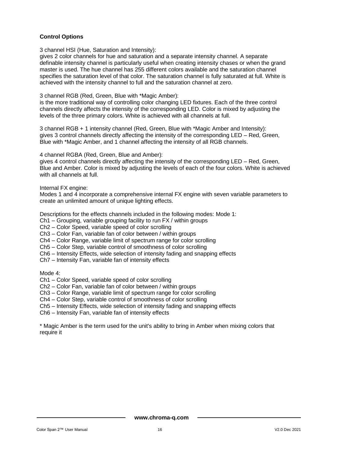#### **Control Options**

3 channel HSI (Hue, Saturation and Intensity):

gives 2 color channels for hue and saturation and a separate intensity channel. A separate definable intensity channel is particularly useful when creating intensity chases or when the grand master is used. The hue channel has 255 different colors available and the saturation channel specifies the saturation level of that color. The saturation channel is fully saturated at full. White is achieved with the intensity channel to full and the saturation channel at zero.

3 channel RGB (Red, Green, Blue with \*Magic Amber):

is the more traditional way of controlling color changing LED fixtures. Each of the three control channels directly affects the intensity of the corresponding LED. Color is mixed by adjusting the levels of the three primary colors. White is achieved with all channels at full.

3 channel RGB + 1 intensity channel (Red, Green, Blue with \*Magic Amber and Intensity): gives 3 control channels directly affecting the intensity of the corresponding LED – Red, Green, Blue with \*Magic Amber, and 1 channel affecting the intensity of all RGB channels.

4 channel RGBA (Red, Green, Blue and Amber):

gives 4 control channels directly affecting the intensity of the corresponding LED – Red, Green, Blue and Amber. Color is mixed by adjusting the levels of each of the four colors. White is achieved with all channels at full.

Internal FX engine:

Modes 1 and 4 incorporate a comprehensive internal FX engine with seven variable parameters to create an unlimited amount of unique lighting effects.

Descriptions for the effects channels included in the following modes: Mode 1:

- Ch1 Grouping, variable grouping facility to run FX / within groups
- Ch2 Color Speed, variable speed of color scrolling
- Ch3 Color Fan, variable fan of color between / within groups
- Ch4 Color Range, variable limit of spectrum range for color scrolling
- Ch5 Color Step, variable control of smoothness of color scrolling
- Ch6 Intensity Effects, wide selection of intensity fading and snapping effects
- Ch7 Intensity Fan, variable fan of intensity effects

Mode 4:

- Ch1 Color Speed, variable speed of color scrolling
- Ch2 Color Fan, variable fan of color between / within groups
- Ch3 Color Range, variable limit of spectrum range for color scrolling

Ch4 – Color Step, variable control of smoothness of color scrolling

- Ch5 Intensity Effects, wide selection of intensity fading and snapping effects
- Ch6 Intensity Fan, variable fan of intensity effects

\* Magic Amber is the term used for the unit's ability to bring in Amber when mixing colors that require it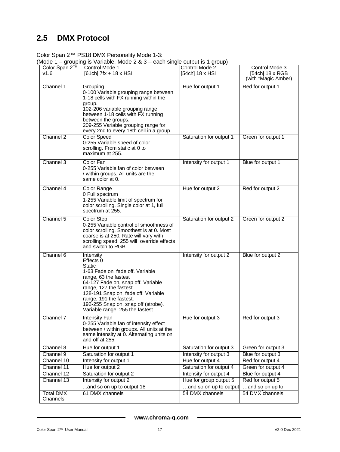# <span id="page-17-0"></span>**2.5 DMX Protocol**

Color Span 2™ PS18 DMX Personality Mode 1-3:

(Mode 1 – grouping is Variable, Mode 2 & 3 – each single output is 1 group)

| Color Span 2™<br>V1.6        | Control Mode 1<br>$[61ch] 7fx + 18x HSI$                                                                                                                                                                                                                                                                          | Control Mode 2<br>[54ch] 18 x HSI           | Control Mode 3<br>[54ch] 18 x RGB<br>(with *Magic Amber) |
|------------------------------|-------------------------------------------------------------------------------------------------------------------------------------------------------------------------------------------------------------------------------------------------------------------------------------------------------------------|---------------------------------------------|----------------------------------------------------------|
| Channel 1<br>Channel 2       | Grouping<br>0-100 Variable grouping range between<br>1-18 cells with FX running within the<br>group.<br>102-206 variable grouping range<br>between 1-18 cells with FX running<br>between the groups.<br>209-255 Variable grouping range for<br>every 2nd to every 18th cell in a group.<br><b>Color Speed</b>     | Hue for output 1<br>Saturation for output 1 | Red for output 1<br>Green for output 1                   |
|                              | 0-255 Variable speed of color<br>scrolling. From static at 0 to<br>maximum at 255.                                                                                                                                                                                                                                |                                             |                                                          |
| Channel 3                    | Color Fan<br>0-255 Variable fan of color between<br>/ within groups. All units are the<br>same color at 0.                                                                                                                                                                                                        | Intensity for output 1                      | Blue for output 1                                        |
| Channel 4                    | <b>Color Range</b><br>0 Full spectrum<br>1-255 Variable limit of spectrum for<br>color scrolling. Single color at 1, full<br>spectrum at 255.                                                                                                                                                                     | Hue for output 2                            | Red for output 2                                         |
| Channel 5                    | Color Step<br>0-255 Variable control of smoothness of<br>color scrolling. Smoothest is at 0. Most<br>coarse is at 250. Rate will vary with<br>scrolling speed. 255 will override effects<br>and switch to RGB.                                                                                                    | Saturation for output 2                     | Green for output 2                                       |
| Channel 6                    | Intensity<br>Effects 0<br><b>Static</b><br>1-63 Fade on, fade off. Variable<br>range, 63 the fastest<br>64-127 Fade on, snap off. Variable<br>range, 127 the fastest<br>128-191 Snap on, fade off. Variable<br>range, 191 the fastest.<br>192-255 Snap on, snap off (strobe).<br>Variable range, 255 the fastest. | Intensity for output 2                      | Blue for output 2                                        |
| Channel 7                    | Intensity Fan<br>0-255 Variable fan of intensity effect<br>between / within groups. All units at the<br>same intensity at 0. Alternating units on<br>and off at 255.                                                                                                                                              | Hue for output 3                            | Red for output 3                                         |
| Channel 8                    | Hue for output 1                                                                                                                                                                                                                                                                                                  | Saturation for output 3                     | Green for output 3                                       |
| Channel 9                    | Saturation for output 1                                                                                                                                                                                                                                                                                           | Intensity for output 3                      | Blue for output 3                                        |
| Channel 10<br>Channel 11     | Intensity for output 1<br>Hue for output 2                                                                                                                                                                                                                                                                        | Hue for output 4<br>Saturation for output 4 | Red for output 4<br>Green for output 4                   |
| Channel 12                   | Saturation for output 2                                                                                                                                                                                                                                                                                           | Intensity for output 4                      | Blue for output 4                                        |
| Channel 13                   | Intensity for output 2                                                                                                                                                                                                                                                                                            | Hue for group output 5                      | Red for output 5                                         |
|                              | and so on up to output 18                                                                                                                                                                                                                                                                                         | and so on up to output                      | and so on up to                                          |
| <b>Total DMX</b><br>Channels | 61 DMX channels                                                                                                                                                                                                                                                                                                   | 54 DMX channels                             | 54 DMX channels                                          |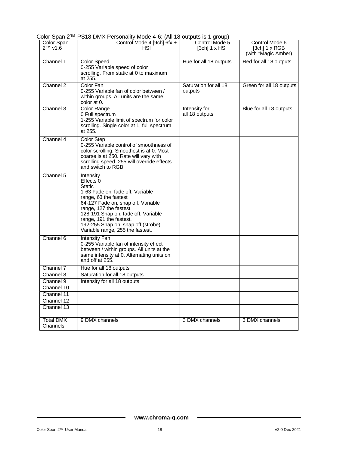| Color Span<br>2™ v1.6 | Control Mode 4 [9ch] 6fx +<br>HSI                                                                                                                                                                                                                                                                                 | Control Mode 5<br>$[3ch]$ 1 x HSI | Control Mode 6<br>[ $3ch$ ] 1 x RGB<br>(with *Magic Amber) |  |
|-----------------------|-------------------------------------------------------------------------------------------------------------------------------------------------------------------------------------------------------------------------------------------------------------------------------------------------------------------|-----------------------------------|------------------------------------------------------------|--|
| Channel 1             | <b>Color Speed</b><br>0-255 Variable speed of color<br>scrolling. From static at 0 to maximum<br>at 255.                                                                                                                                                                                                          | Hue for all 18 outputs            | Red for all 18 outputs                                     |  |
| Channel 2             | Color Fan<br>0-255 Variable fan of color between /<br>within groups. All units are the same<br>color at 0.                                                                                                                                                                                                        | Saturation for all 18<br>outputs  | Green for all 18 outputs                                   |  |
| Channel 3             | <b>Color Range</b><br>0 Full spectrum<br>1-255 Variable limit of spectrum for color<br>scrolling. Single color at 1, full spectrum<br>at 255.                                                                                                                                                                     | Intensity for<br>all 18 outputs   | Blue for all 18 outputs                                    |  |
| Channel 4             | <b>Color Step</b><br>0-255 Variable control of smoothness of<br>color scrolling. Smoothest is at 0. Most<br>coarse is at 250. Rate will vary with<br>scrolling speed. 255 will override effects<br>and switch to RGB.                                                                                             |                                   |                                                            |  |
| Channel 5             | Intensity<br>Effects 0<br><b>Static</b><br>1-63 Fade on, fade off. Variable<br>range, 63 the fastest<br>64-127 Fade on, snap off. Variable<br>range, 127 the fastest<br>128-191 Snap on, fade off. Variable<br>range, 191 the fastest.<br>192-255 Snap on, snap off (strobe).<br>Variable range, 255 the fastest. |                                   |                                                            |  |
| Channel 6             | Intensity Fan<br>0-255 Variable fan of intensity effect<br>between / within groups. All units at the<br>same intensity at 0. Alternating units on<br>and off at 255.                                                                                                                                              |                                   |                                                            |  |
| Channel 7             | Hue for all 18 outputs                                                                                                                                                                                                                                                                                            |                                   |                                                            |  |
| Channel 8             | Saturation for all 18 outputs                                                                                                                                                                                                                                                                                     |                                   |                                                            |  |
| Channel 9             | Intensity for all 18 outputs                                                                                                                                                                                                                                                                                      |                                   |                                                            |  |
| Channel 10            |                                                                                                                                                                                                                                                                                                                   |                                   |                                                            |  |
| Channel 11            |                                                                                                                                                                                                                                                                                                                   |                                   |                                                            |  |
| Channel 12            |                                                                                                                                                                                                                                                                                                                   |                                   |                                                            |  |
| Channel 13            |                                                                                                                                                                                                                                                                                                                   |                                   |                                                            |  |
|                       |                                                                                                                                                                                                                                                                                                                   |                                   |                                                            |  |
| Total DMX<br>Channels | 9 DMX channels                                                                                                                                                                                                                                                                                                    | 3 DMX channels                    | 3 DMX channels                                             |  |

#### Color Span 2™ PS18 DMX Personality Mode 4-6: (All 18 outputs is 1 group)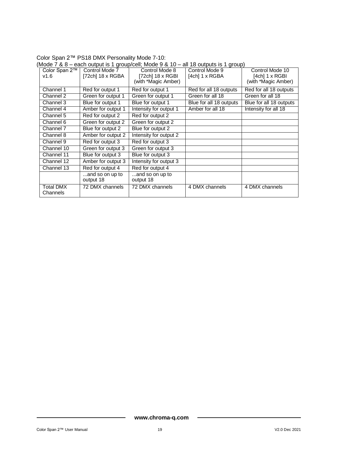| (Mode 7 & 8 – each output is 1 group/cell; Mode 9 & 10 – all 18 outputs is 1 group) |                              |                                      |                                                           |                                  |                                                          |
|-------------------------------------------------------------------------------------|------------------------------|--------------------------------------|-----------------------------------------------------------|----------------------------------|----------------------------------------------------------|
|                                                                                     | Color Span 2™<br>v1.6        | Control Mode 7<br>$[72ch]$ 18 x RGBA | Control Mode 8<br>[72ch] 18 x RGBI<br>(with *Magic Amber) | Control Mode 9<br>[4ch] 1 x RGBA | Control Mode 10<br>[4ch] 1 x RGBI<br>(with *Magic Amber) |
|                                                                                     |                              |                                      |                                                           |                                  |                                                          |
|                                                                                     | Channel 1                    | Red for output 1                     | Red for output 1                                          | Red for all 18 outputs           | Red for all 18 outputs                                   |
|                                                                                     | Channel 2                    | Green for output 1                   | Green for output 1                                        | Green for all 18                 | Green for all 18                                         |
|                                                                                     | Channel 3                    | Blue for output 1                    | Blue for output 1                                         | Blue for all 18 outputs          | Blue for all 18 outputs                                  |
|                                                                                     | Channel 4                    | Amber for output 1                   | Intensity for output 1                                    | Amber for all 18                 | Intensity for all 18                                     |
|                                                                                     | Channel 5                    | Red for output 2                     | Red for output 2                                          |                                  |                                                          |
|                                                                                     | Channel 6                    | Green for output 2                   | Green for output 2                                        |                                  |                                                          |
|                                                                                     | Channel 7                    | Blue for output 2                    | Blue for output 2                                         |                                  |                                                          |
|                                                                                     | Channel 8                    | Amber for output 2                   | Intensity for output 2                                    |                                  |                                                          |
|                                                                                     | Channel 9                    | Red for output 3                     | Red for output 3                                          |                                  |                                                          |
|                                                                                     | Channel $\overline{10}$      | Green for output 3                   | Green for output 3                                        |                                  |                                                          |
|                                                                                     | Channel 11                   | Blue for output 3                    | Blue for output 3                                         |                                  |                                                          |
|                                                                                     | Channel 12                   | Amber for output 3                   | Intensity for output 3                                    |                                  |                                                          |
|                                                                                     | Channel 13                   | Red for output 4                     | Red for output 4                                          |                                  |                                                          |
|                                                                                     |                              | and so on up to<br>output 18         | and so on up to<br>output 18                              |                                  |                                                          |
|                                                                                     | <b>Total DMX</b><br>Channels | 72 DMX channels                      | 72 DMX channels                                           | 4 DMX channels                   | 4 DMX channels                                           |

Color Span 2™ PS18 DMX Personality Mode 7-10: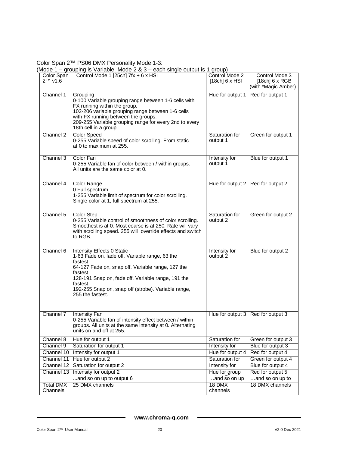Color Span 2™ PS06 DMX Personality Mode 1-3:

(Mode 1 – grouping is Variable, Mode 2 & 3 – each single output is 1 group)

| Color Span<br>2™ v1.6    | Control Mode 1 [25ch] 7fx + 6 x HSI                                                                                                                                                                                                                                                                  | Control Mode 2<br>[18ch] 6 x HSI | Control Mode 3<br>[18ch] 6 x RGB<br>(with *Magic Amber) |
|--------------------------|------------------------------------------------------------------------------------------------------------------------------------------------------------------------------------------------------------------------------------------------------------------------------------------------------|----------------------------------|---------------------------------------------------------|
| Channel 1                | Grouping<br>0-100 Variable grouping range between 1-6 cells with<br>FX running within the group.<br>102-206 variable grouping range between 1-6 cells<br>with FX running between the groups.<br>209-255 Variable grouping range for every 2nd to every<br>18th cell in a group.                      | Hue for output 1                 | Red for output 1                                        |
| Channel 2                | <b>Color Speed</b><br>0-255 Variable speed of color scrolling. From static<br>at 0 to maximum at 255.                                                                                                                                                                                                | Saturation for<br>output 1       | Green for output 1                                      |
| Channel 3                | Color Fan<br>0-255 Variable fan of color between / within groups.<br>All units are the same color at 0.                                                                                                                                                                                              | Intensity for<br>output 1        | Blue for output 1                                       |
| Channel 4                | <b>Color Range</b><br>0 Full spectrum<br>1-255 Variable limit of spectrum for color scrolling.<br>Single color at 1, full spectrum at 255.                                                                                                                                                           | Hue for output 2                 | Red for output 2                                        |
| Channel 5                | Color Step<br>0-255 Variable control of smoothness of color scrolling.<br>Smoothest is at 0. Most coarse is at 250. Rate will vary<br>with scrolling speed. 255 will override effects and switch<br>to RGB.                                                                                          | Saturation for<br>output 2       | Green for output 2                                      |
| Channel 6                | Intensity Effects 0 Static<br>1-63 Fade on, fade off. Variable range, 63 the<br>fastest<br>64-127 Fade on, snap off. Variable range, 127 the<br>fastest<br>128-191 Snap on, fade off. Variable range, 191 the<br>fastest.<br>192-255 Snap on, snap off (strobe). Variable range,<br>255 the fastest. | Intensity for<br>output 2        | Blue for output 2                                       |
| Channel 7                | <b>Intensity Fan</b><br>0-255 Variable fan of intensity effect between / within<br>groups. All units at the same intensity at 0. Alternating<br>units on and off at 255.                                                                                                                             | Hue for output 3                 | Red for output 3                                        |
| Channel 8                | Hue for output 1                                                                                                                                                                                                                                                                                     | Saturation for                   | Green for output 3                                      |
| Channel 9                | Saturation for output 1                                                                                                                                                                                                                                                                              | Intensity for                    | Blue for output 3                                       |
| Channel 10               | Intensity for output 1                                                                                                                                                                                                                                                                               | Hue for output 4                 | Red for output 4                                        |
| Channel 11               | Hue for output 2                                                                                                                                                                                                                                                                                     | Saturation for                   | Green for output 4<br>Blue for output 4                 |
| Channel 12<br>Channel 13 | Saturation for output 2<br>Intensity for output 2                                                                                                                                                                                                                                                    | Intensity for<br>Hue for group   | Red for output 5                                        |
|                          | and so on up to output 6                                                                                                                                                                                                                                                                             | and so on up                     | and so on up to                                         |
| <b>Total DMX</b>         | 25 DMX channels                                                                                                                                                                                                                                                                                      | 18 DMX                           | 18 DMX channels                                         |
| Channels                 |                                                                                                                                                                                                                                                                                                      | channels                         |                                                         |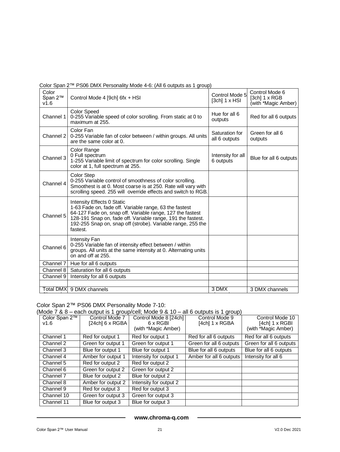| Color<br>Span 2™<br>v1.6 | Control Mode 4 [9ch] 6fx + HSI                                                                                                                                                                                                                                                              | Control Mode 5<br>$[3ch]$ 1 x HSI | Control Mode 6<br>[3ch] 1 x RGB<br>(with *Magic Amber) |
|--------------------------|---------------------------------------------------------------------------------------------------------------------------------------------------------------------------------------------------------------------------------------------------------------------------------------------|-----------------------------------|--------------------------------------------------------|
| Channel 1                | <b>Color Speed</b><br>0-255 Variable speed of color scrolling. From static at 0 to<br>maximum at 255.                                                                                                                                                                                       | Hue for all 6<br>outputs          | Red for all 6 outputs                                  |
| Channel 2                | Color Fan<br>0-255 Variable fan of color between / within groups. All units<br>are the same color at 0.                                                                                                                                                                                     | Saturation for<br>all 6 outputs   | Green for all 6<br>outputs                             |
| Channel 3                | Color Range<br>0 Full spectrum<br>1-255 Variable limit of spectrum for color scrolling. Single<br>color at 1, full spectrum at 255.                                                                                                                                                         | Intensity for all<br>6 outputs    | Blue for all 6 outputs                                 |
| Channel 4                | <b>Color Step</b><br>0-255 Variable control of smoothness of color scrolling.<br>Smoothest is at 0. Most coarse is at 250. Rate will vary with<br>scrolling speed. 255 will override effects and switch to RGB.                                                                             |                                   |                                                        |
| Channel 5                | Intensity Effects 0 Static<br>1-63 Fade on, fade off. Variable range, 63 the fastest<br>64-127 Fade on, snap off. Variable range, 127 the fastest<br>128-191 Snap on, fade off. Variable range, 191 the fastest.<br>192-255 Snap on, snap off (strobe). Variable range, 255 the<br>fastest. |                                   |                                                        |
| Channel 6                | <b>Intensity Fan</b><br>0-255 Variable fan of intensity effect between / within<br>groups. All units at the same intensity at 0. Alternating units<br>on and off at 255.                                                                                                                    |                                   |                                                        |
| Channel 7                | Hue for all 6 outputs                                                                                                                                                                                                                                                                       |                                   |                                                        |
| Channel 8                | Saturation for all 6 outputs                                                                                                                                                                                                                                                                |                                   |                                                        |
| Channel 9                | Intensity for all 6 outputs                                                                                                                                                                                                                                                                 |                                   |                                                        |
|                          |                                                                                                                                                                                                                                                                                             |                                   |                                                        |
| <b>Total DMX</b>         | 9 DMX channels                                                                                                                                                                                                                                                                              | 3 DMX                             | 3 DMX channels                                         |

#### Color Span 2™ PS06 DMX Personality Mode 4-6: (All 6 outputs as 1 group)

#### Color Span 2™ PS06 DMX Personality Mode 7-10:

(Mode 7 & 8 – each output is 1 group/cell; Mode 9 & 10 – all 6 outputs is 1 group)

| Color Span 2™ | Control Mode 7     | Control Mode 8 [24ch]  | Control Mode 9          | Control Mode 10         |
|---------------|--------------------|------------------------|-------------------------|-------------------------|
| V1.6          | [24ch] 6 x RGBA    | 6 x RGBI               | [4ch] 1 x RGBA          | [4ch] 1 x RGBI          |
|               |                    | (with *Magic Amber)    |                         | (with *Magic Amber)     |
| Channel 1     | Red for output 1   | Red for output 1       | Red for all 6 outputs   | Red for all 6 outputs   |
| Channel 2     | Green for output 1 | Green for output 1     | Green for all 6 outputs | Green for all 6 outputs |
| Channel 3     | Blue for output 1  | Blue for output 1      | Blue for all 6 outputs  | Blue for all 6 outputs  |
| Channel 4     | Amber for output 1 | Intensity for output 1 | Amber for all 6 outputs | Intensity for all 6     |
| Channel 5     | Red for output 2   | Red for output 2       |                         |                         |
| Channel 6     | Green for output 2 | Green for output 2     |                         |                         |
| Channel 7     | Blue for output 2  | Blue for output 2      |                         |                         |
| Channel 8     | Amber for output 2 | Intensity for output 2 |                         |                         |
| Channel 9     | Red for output 3   | Red for output 3       |                         |                         |
| Channel 10    | Green for output 3 | Green for output 3     |                         |                         |
| Channel 11    | Blue for output 3  | Blue for output 3      |                         |                         |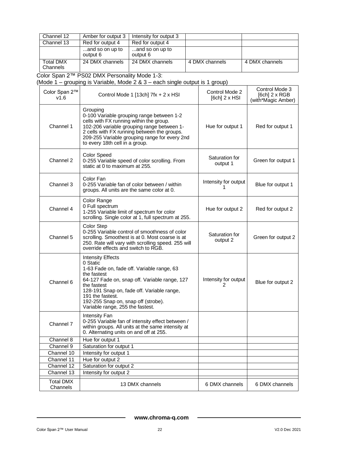| Channel 12                   | Amber for output 3          | Intensity for output 3      |                |                |
|------------------------------|-----------------------------|-----------------------------|----------------|----------------|
| Channel 13                   | Red for output 4            | Red for output 4            |                |                |
|                              | and so on up to<br>output 6 | and so on up to<br>output 6 |                |                |
| <b>Total DMX</b><br>Channels | 24 DMX channels             | 24 DMX channels             | 4 DMX channels | 4 DMX channels |

Color Span 2™ PS02 DMX Personality Mode 1-3:

(Mode 1 – grouping is Variable, Mode 2 & 3 – each single output is 1 group)

| Color Span 2™<br>V1.6        | Control Mode 1 $[13ch]$ 7fx + 2 x HSI                                                                                                                                                                                                                                                                          | Control Mode 2<br>$[6ch]$ 2 x HSI | Control Mode 3<br>$[6ch]$ 2 x RGB<br>(with*Magic Amber) |
|------------------------------|----------------------------------------------------------------------------------------------------------------------------------------------------------------------------------------------------------------------------------------------------------------------------------------------------------------|-----------------------------------|---------------------------------------------------------|
| Channel 1                    | Grouping<br>0-100 Variable grouping range between 1-2<br>cells with FX running within the group.<br>102-206 variable grouping range between 1-<br>2 cells with FX running between the groups.<br>209-255 Variable grouping range for every 2nd<br>to every 18th cell in a group.                               | Hue for output 1                  | Red for output 1                                        |
| Channel 2                    | <b>Color Speed</b><br>0-255 Variable speed of color scrolling. From<br>static at 0 to maximum at 255.                                                                                                                                                                                                          | Saturation for<br>output 1        | Green for output 1                                      |
| Channel 3                    | Color Fan<br>0-255 Variable fan of color between / within<br>groups. All units are the same color at 0.                                                                                                                                                                                                        | Intensity for output              | Blue for output 1                                       |
| Channel 4                    | Color Range<br>0 Full spectrum<br>1-255 Variable limit of spectrum for color<br>scrolling. Single color at 1, full spectrum at 255.                                                                                                                                                                            | Hue for output 2                  | Red for output 2                                        |
| Channel 5                    | Color Step<br>0-255 Variable control of smoothness of color<br>scrolling. Smoothest is at 0. Most coarse is at<br>250. Rate will vary with scrolling speed. 255 will<br>override effects and switch to RGB.                                                                                                    | Saturation for<br>output 2        | Green for output 2                                      |
| Channel 6                    | <b>Intensity Effects</b><br>0 Static<br>1-63 Fade on, fade off. Variable range, 63<br>the fastest<br>64-127 Fade on, snap off. Variable range, 127<br>the fastest<br>128-191 Snap on, fade off. Variable range,<br>191 the fastest.<br>192-255 Snap on, snap off (strobe).<br>Variable range, 255 the fastest. | Intensity for output<br>2         | Blue for output 2                                       |
| Channel 7                    | Intensity Fan<br>0-255 Variable fan of intensity effect between /<br>within groups. All units at the same intensity at<br>0. Alternating units on and off at 255.                                                                                                                                              |                                   |                                                         |
| Channel 8                    | Hue for output 1                                                                                                                                                                                                                                                                                               |                                   |                                                         |
| Channel 9                    | Saturation for output 1                                                                                                                                                                                                                                                                                        |                                   |                                                         |
| Channel 10                   | Intensity for output 1                                                                                                                                                                                                                                                                                         |                                   |                                                         |
| Channel 11<br>Channel 12     | Hue for output 2<br>Saturation for output 2                                                                                                                                                                                                                                                                    |                                   |                                                         |
| Channel 13                   | Intensity for output 2                                                                                                                                                                                                                                                                                         |                                   |                                                         |
| <b>Total DMX</b><br>Channels | 13 DMX channels                                                                                                                                                                                                                                                                                                | 6 DMX channels                    | 6 DMX channels                                          |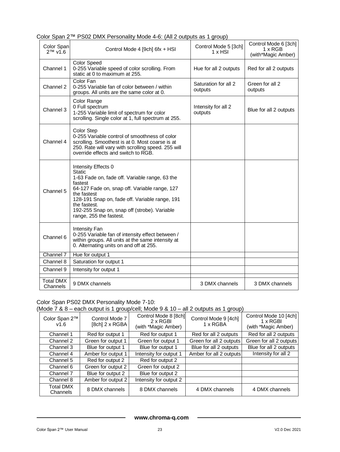| Color Span<br>$2™$ v1.6      | Control Mode 4 [9ch] 6fx + HSI                                                                                                                                                                                                                                                                          | Control Mode 5 [3ch]<br>$1 \times$ HSI | Control Mode 6 [3ch]<br>$1 \times RGB$<br>(with*Magic Amber) |
|------------------------------|---------------------------------------------------------------------------------------------------------------------------------------------------------------------------------------------------------------------------------------------------------------------------------------------------------|----------------------------------------|--------------------------------------------------------------|
| Channel 1                    | <b>Color Speed</b><br>0-255 Variable speed of color scrolling. From<br>static at 0 to maximum at 255.                                                                                                                                                                                                   | Hue for all 2 outputs                  | Red for all 2 outputs                                        |
| Channel 2                    | Color Fan<br>0-255 Variable fan of color between / within<br>groups. All units are the same color at 0.                                                                                                                                                                                                 | Saturation for all 2<br>outputs        | Green for all 2<br>outputs                                   |
| Channel 3                    | Color Range<br>0 Full spectrum<br>1-255 Variable limit of spectrum for color<br>scrolling. Single color at 1, full spectrum at 255.                                                                                                                                                                     | Intensity for all 2<br>outputs         | Blue for all 2 outputs                                       |
| Channel 4                    | Color Step<br>0-255 Variable control of smoothness of color<br>scrolling. Smoothest is at 0. Most coarse is at<br>250. Rate will vary with scrolling speed. 255 will<br>override effects and switch to RGB.                                                                                             |                                        |                                                              |
| Channel 5                    | Intensity Effects 0<br>Static<br>1-63 Fade on, fade off. Variable range, 63 the<br>fastest<br>64-127 Fade on, snap off. Variable range, 127<br>the fastest<br>128-191 Snap on, fade off. Variable range, 191<br>the fastest.<br>192-255 Snap on, snap off (strobe). Variable<br>range, 255 the fastest. |                                        |                                                              |
| Channel 6                    | <b>Intensity Fan</b><br>0-255 Variable fan of intensity effect between /<br>within groups. All units at the same intensity at<br>0. Alternating units on and off at 255.                                                                                                                                |                                        |                                                              |
| Channel 7                    | Hue for output 1                                                                                                                                                                                                                                                                                        |                                        |                                                              |
| Channel 8                    | Saturation for output 1                                                                                                                                                                                                                                                                                 |                                        |                                                              |
| Channel 9                    | Intensity for output 1                                                                                                                                                                                                                                                                                  |                                        |                                                              |
| <b>Total DMX</b><br>Channels | 9 DMX channels                                                                                                                                                                                                                                                                                          | 3 DMX channels                         | 3 DMX channels                                               |

#### Color Span 2™ PS02 DMX Personality Mode 4-6: (All 2 outputs as 1 group)

#### Color Span PS02 DMX Personality Mode 7-10:

#### (Mode 7 & 8 – each output is 1 group/cell; Mode 9 & 10 – all 2 outputs as 1 group)

| Color Span 2™<br>V1.6        | Control Mode 7<br>[8ch] 2 x RGBA | Control Mode 8 [8ch]<br>$2 \times$ RGBI<br>(with *Magic Amber) | Control Mode 9 [4ch]<br>1 x RGBA | Control Mode 10 [4ch]<br>1 x RGBI<br>(with *Magic Amber) |
|------------------------------|----------------------------------|----------------------------------------------------------------|----------------------------------|----------------------------------------------------------|
| Channel 1                    | Red for output 1                 | Red for output 1                                               | Red for all 2 outputs            | Red for all 2 outputs                                    |
| Channel 2                    | Green for output 1               | Green for output 1                                             | Green for all 2 outputs          | Green for all 2 outputs                                  |
| Channel 3                    | Blue for output 1                | Blue for output 1                                              | Blue for all 2 outputs           | Blue for all 2 outputs                                   |
| Channel 4                    | Amber for output 1               | Intensity for output 1                                         | Amber for all 2 outputs          | Intensity for all 2                                      |
| Channel 5                    | Red for output 2                 | Red for output 2                                               |                                  |                                                          |
| Channel 6                    | Green for output 2               | Green for output 2                                             |                                  |                                                          |
| Channel 7                    | Blue for output 2                | Blue for output 2                                              |                                  |                                                          |
| Channel 8                    | Amber for output 2               | Intensity for output 2                                         |                                  |                                                          |
| <b>Total DMX</b><br>Channels | 8 DMX channels                   | 8 DMX channels                                                 | 4 DMX channels                   | 4 DMX channels                                           |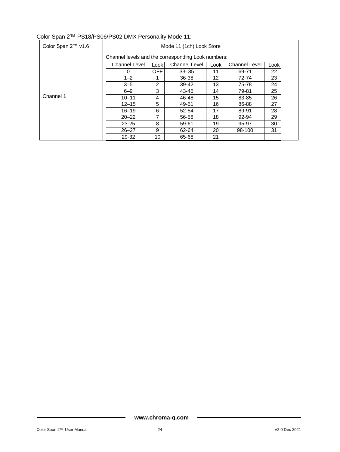| Color Span 2™ v1.6 | Mode 11 (1ch) Look Store                           |            |                      |       |                      |      |  |
|--------------------|----------------------------------------------------|------------|----------------------|-------|----------------------|------|--|
|                    | Channel levels and the corresponding Look numbers: |            |                      |       |                      |      |  |
|                    | Channel Level                                      | Look       | <b>Channel Level</b> | Lookl | <b>Channel Level</b> | Look |  |
|                    | $\Omega$                                           | <b>OFF</b> | $33 - 35$            | 11    | 69-71                | 22   |  |
|                    | $1 - 2$                                            |            | 36-38                | 12    | 72-74                | 23   |  |
|                    | $3 - 5$                                            | 2          | 39-42                | 13    | 75-78                | 24   |  |
|                    | $6 - 9$                                            | 3          | 43-45                | 14    | 79-81                | 25   |  |
| Channel 1          | $10 - 11$                                          | 4          | 46-48                | 15    | 83-85                | 26   |  |
|                    | $12 - 15$                                          | 5          | 49-51                | 16    | 86-88                | 27   |  |
|                    | $16 - 19$                                          | 6          | 52-54                | 17    | 89-91                | 28   |  |
|                    | $20 - 22$                                          | 7          | 56-58                | 18    | 92-94                | 29   |  |
|                    | $23 - 25$                                          | 8          | 59-61                | 19    | 95-97                | 30   |  |
|                    | $26 - 27$                                          | 9          | 62-64                | 20    | 98-100               | 31   |  |
|                    | 29-32                                              | 10         | 65-68                | 21    |                      |      |  |

#### Color Span 2™ PS18/PS06/PS02 DMX Personality Mode 11: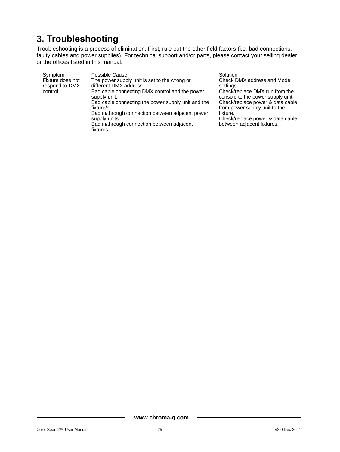# <span id="page-25-0"></span>**3. Troubleshooting**

Troubleshooting is a process of elimination. First, rule out the other field factors (i.e. bad connections, faulty cables and power supplies). For technical support and/or parts, please contact your selling dealer or the offices listed in this manual.

| Symptom                                        | Possible Cause                                                                                                                                                                                                                                                                                                                               | Solution                                                                                                                                                                                                                                                          |
|------------------------------------------------|----------------------------------------------------------------------------------------------------------------------------------------------------------------------------------------------------------------------------------------------------------------------------------------------------------------------------------------------|-------------------------------------------------------------------------------------------------------------------------------------------------------------------------------------------------------------------------------------------------------------------|
| Fixture does not<br>respond to DMX<br>control. | The power supply unit is set to the wrong or<br>different DMX address.<br>Bad cable connecting DMX control and the power<br>supply unit.<br>Bad cable connecting the power supply unit and the<br>fixture/s.<br>Bad in/through connection between adjacent power<br>supply units.<br>Bad in/through connection between adjacent<br>fixtures. | Check DMX address and Mode<br>settings.<br>Check/replace DMX run from the<br>console to the power supply unit.<br>Check/replace power & data cable<br>from power supply unit to the<br>fixture.<br>Check/replace power & data cable<br>between adjacent fixtures. |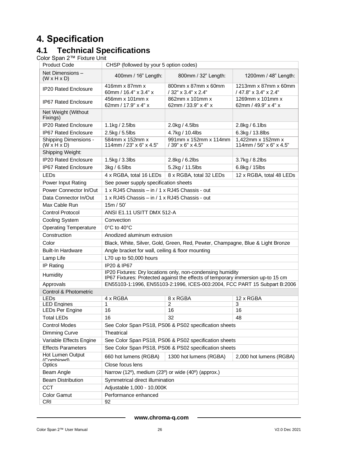# <span id="page-26-0"></span>**4. Specification**

## <span id="page-26-1"></span>**4.1 Technical Specifications**

Color Span 2™ Fixture Unit

| <b>Product Code</b>                                     | CHSP (followed by your 5 option codes)                                     |                                                                                                                                               |                                               |  |  |
|---------------------------------------------------------|----------------------------------------------------------------------------|-----------------------------------------------------------------------------------------------------------------------------------------------|-----------------------------------------------|--|--|
| Net Dimensions-<br>$(W \times H \times D)$              | 400mm / 16" Length:                                                        | 800mm / 32" Length:                                                                                                                           | 1200mm / 48" Length:                          |  |  |
| <b>IP20 Rated Enclosure</b>                             | 416mm x 87mm x<br>60mm / 16.4" x 3.4" x                                    | 800mm x 87mm x 60mm<br>/ 32" x 3.4" x 2.4"                                                                                                    | 1213mm x 87mm x 60mm<br>/ 47.8" x 3.4" x 2.4" |  |  |
| <b>IP67 Rated Enclosure</b>                             | 456mm x 101mm x<br>62mm / 17.9" x 4" x                                     | 862mm x 101mm x<br>62mm / 33.9" x 4" x                                                                                                        | 1269mm x 101mm x<br>62mm / 49.9" x 4" x       |  |  |
| Net Weight (Without<br>Fixings)                         |                                                                            |                                                                                                                                               |                                               |  |  |
| IP20 Rated Enclosure                                    | 1.1kg / 2.5lbs                                                             | 2.0kg / 4.5lbs                                                                                                                                | 2.8kg / 6.1lbs                                |  |  |
| <b>IP67 Rated Enclosure</b>                             | 2.5kg / 5.5lbs                                                             | 4.7kg / 10.4lbs                                                                                                                               | 6.3kg / 13.8lbs                               |  |  |
| <b>Shipping Dimensions -</b><br>$(W \times H \times D)$ | 584mm x 152mm x<br>114mm / 23" x 6" x 4.5"                                 | 991mm x 152mm x 114mm<br>/ 39" x 6" x 4.5"                                                                                                    | 1,422mm x 152mm x<br>114mm / 56" x 6" x 4.5"  |  |  |
| Shipping Weight:                                        |                                                                            |                                                                                                                                               |                                               |  |  |
| IP20 Rated Enclosure                                    | 1.5kg / 3.3lbs                                                             | 2.8kg / 6.2lbs                                                                                                                                | 3.7kg / 8.2lbs                                |  |  |
| <b>IP67 Rated Enclosure</b>                             | 3kg / 6.5lbs                                                               | 5.2kg / 11.5lbs                                                                                                                               | 6.8kg / 15lbs                                 |  |  |
| <b>LEDs</b>                                             | 4 x RGBA, total 16 LEDs                                                    | 8 x RGBA, total 32 LEDs                                                                                                                       | 12 x RGBA, total 48 LEDs                      |  |  |
| Power Input Rating                                      | See power supply specification sheets                                      |                                                                                                                                               |                                               |  |  |
| Power Connector In/Out                                  | 1 x RJ45 Chassis - in / 1 x RJ45 Chassis - out                             |                                                                                                                                               |                                               |  |  |
| Data Connector In/Out                                   | 1 x RJ45 Chassis - in / 1 x RJ45 Chassis - out                             |                                                                                                                                               |                                               |  |  |
| Max Cable Run                                           | 15m / 50'                                                                  |                                                                                                                                               |                                               |  |  |
| <b>Control Protocol</b>                                 | ANSI E1.11 USITT DMX 512-A                                                 |                                                                                                                                               |                                               |  |  |
| Cooling System                                          | Convection                                                                 |                                                                                                                                               |                                               |  |  |
| <b>Operating Temperature</b>                            | 0°C to 40°C                                                                |                                                                                                                                               |                                               |  |  |
| Construction                                            | Anodized aluminum extrusion                                                |                                                                                                                                               |                                               |  |  |
| Color                                                   |                                                                            | Black, White, Silver, Gold, Green, Red, Pewter, Champagne, Blue & Light Bronze                                                                |                                               |  |  |
| <b>Built-In Hardware</b>                                | Angle bracket for wall, ceiling & floor mounting                           |                                                                                                                                               |                                               |  |  |
| Lamp Life                                               | L70 up to 50,000 hours                                                     |                                                                                                                                               |                                               |  |  |
| IP Rating                                               | IP20 & IP67                                                                |                                                                                                                                               |                                               |  |  |
| <b>Humidity</b>                                         |                                                                            | IP20 Fixtures: Dry locations only, non-condensing humidity<br>IP67 Fixtures: Protected against the effects of temporary immersion up-to 15 cm |                                               |  |  |
| Approvals                                               |                                                                            | EN55103-1:1996, EN55103-2:1996, ICES-003:2004, FCC PART 15 Subpart B:2006                                                                     |                                               |  |  |
| Control & Photometric                                   |                                                                            |                                                                                                                                               |                                               |  |  |
| <b>LEDs</b>                                             | 4 x RGBA                                                                   | 8 x RGBA                                                                                                                                      | 12 x RGBA                                     |  |  |
| <b>LED Engines</b><br><b>LEDs Per Engine</b>            | 1<br>16                                                                    | $\overline{2}$<br>16                                                                                                                          | 3<br>16                                       |  |  |
| <b>Total LEDs</b>                                       | 16                                                                         | 32                                                                                                                                            | 48                                            |  |  |
| <b>Control Modes</b>                                    |                                                                            | See Color Span PS18, PS06 & PS02 specification sheets                                                                                         |                                               |  |  |
| Dimming Curve                                           | Theatrical                                                                 |                                                                                                                                               |                                               |  |  |
| Variable Effects Engine                                 | See Color Span PS18, PS06 & PS02 specification sheets                      |                                                                                                                                               |                                               |  |  |
| <b>Effects Parameters</b>                               | See Color Span PS18, PS06 & PS02 specification sheets                      |                                                                                                                                               |                                               |  |  |
| Hot Lumen Output<br>(Combined)                          | 660 hot lumens (RGBA)<br>1300 hot lumens (RGBA)<br>2,000 hot lumens (RGBA) |                                                                                                                                               |                                               |  |  |
| Optics                                                  | Close focus lens                                                           |                                                                                                                                               |                                               |  |  |
| Beam Angle                                              | Narrow (12º), medium (23º) or wide (40°) (approx.)                         |                                                                                                                                               |                                               |  |  |
| <b>Beam Distribution</b>                                | Symmetrical direct illumination                                            |                                                                                                                                               |                                               |  |  |
| <b>CCT</b>                                              | Adjustable 1,000 - 10,000K                                                 |                                                                                                                                               |                                               |  |  |
| <b>Color Gamut</b>                                      | Performance enhanced                                                       |                                                                                                                                               |                                               |  |  |
| <b>CRI</b>                                              | 92                                                                         |                                                                                                                                               |                                               |  |  |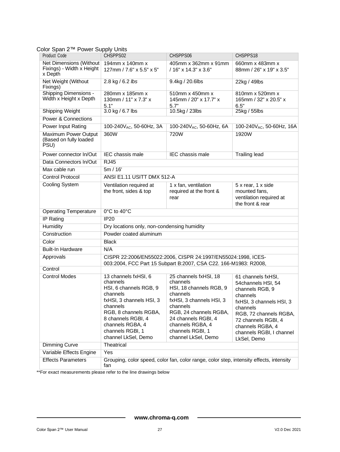| Color Span 2™ Power Supply Units |  |  |  |  |
|----------------------------------|--|--|--|--|
|----------------------------------|--|--|--|--|

| uiui Opaii 4<br>Product Code                                    | <b>UNICI OUPPLY OTHO</b><br>CHSPPS02                                                                                                                                                                                         | CHSPPS06                                                                                                                                                                                                                         | CHSPPS18                                                                                                                                                                                                                        |  |
|-----------------------------------------------------------------|------------------------------------------------------------------------------------------------------------------------------------------------------------------------------------------------------------------------------|----------------------------------------------------------------------------------------------------------------------------------------------------------------------------------------------------------------------------------|---------------------------------------------------------------------------------------------------------------------------------------------------------------------------------------------------------------------------------|--|
| Net Dimensions (Without<br>Fixings) - Width x Height<br>x Depth | 194mm x 140mm x<br>127mm / 7.6" x 5.5" x 5"                                                                                                                                                                                  | 405mm x 362mm x 91mm<br>/ 16" x 14.3" x 3.6"                                                                                                                                                                                     | 660mm x 483mm x<br>88mm / 26" x 19" x 3.5"                                                                                                                                                                                      |  |
| Net Weight (Without<br>Fixings)                                 | 2.8 kg / 6.2 lbs                                                                                                                                                                                                             | 9.4kg / 20.6lbs                                                                                                                                                                                                                  | 22kg / 49lbs                                                                                                                                                                                                                    |  |
| <b>Shipping Dimensions -</b><br>Width x Height x Depth          | 280mm x 185mm x<br>130mm / 11" x 7.3" x<br>5.1"                                                                                                                                                                              | 510mm x 450mm x<br>145mm / 20" x 17.7" x<br>5.7"                                                                                                                                                                                 | 810mm x 520mm x<br>165mm / 32" x 20.5" x<br>6.5"                                                                                                                                                                                |  |
| <b>Shipping Weight</b>                                          | 3.0 kg / 6.7 lbs                                                                                                                                                                                                             | 10.5kg / 23lbs                                                                                                                                                                                                                   | 25kg / 55lbs                                                                                                                                                                                                                    |  |
| <b>Power &amp; Connections</b>                                  |                                                                                                                                                                                                                              |                                                                                                                                                                                                                                  |                                                                                                                                                                                                                                 |  |
| Power Input Rating                                              | 100-240 $V_{AC}$ , 50-60Hz, 3A                                                                                                                                                                                               | 100-240 $V_{AC}$ , 50-60Hz, 6A                                                                                                                                                                                                   | 100-240V <sub>AC</sub> , 50-60Hz, 16A                                                                                                                                                                                           |  |
| Maximum Power Output<br>(Based on fully loaded<br>PSU)          | 360W                                                                                                                                                                                                                         | 720W                                                                                                                                                                                                                             | 1920W                                                                                                                                                                                                                           |  |
| Power connector In/Out                                          | <b>IEC</b> chassis male                                                                                                                                                                                                      | <b>IEC</b> chassis male                                                                                                                                                                                                          | <b>Trailing lead</b>                                                                                                                                                                                                            |  |
| Data Connectors In/Out                                          | <b>RJ45</b>                                                                                                                                                                                                                  |                                                                                                                                                                                                                                  |                                                                                                                                                                                                                                 |  |
| Max cable run                                                   | 5m/16'                                                                                                                                                                                                                       |                                                                                                                                                                                                                                  |                                                                                                                                                                                                                                 |  |
| <b>Control Protocol</b>                                         | ANSI E1.11 USITT DMX 512-A                                                                                                                                                                                                   |                                                                                                                                                                                                                                  |                                                                                                                                                                                                                                 |  |
| <b>Cooling System</b>                                           | Ventilation required at<br>the front, sides & top                                                                                                                                                                            | 1 x fan, ventilation<br>required at the front &<br>rear                                                                                                                                                                          | 5 x rear, 1 x side<br>mounted fans,<br>ventilation required at<br>the front & rear                                                                                                                                              |  |
| <b>Operating Temperature</b>                                    | 0°C to 40°C                                                                                                                                                                                                                  |                                                                                                                                                                                                                                  |                                                                                                                                                                                                                                 |  |
| <b>IP Rating</b>                                                | <b>IP20</b>                                                                                                                                                                                                                  |                                                                                                                                                                                                                                  |                                                                                                                                                                                                                                 |  |
| Humidity                                                        | Dry locations only, non-condensing humidity                                                                                                                                                                                  |                                                                                                                                                                                                                                  |                                                                                                                                                                                                                                 |  |
| Construction                                                    | Powder coated aluminum                                                                                                                                                                                                       |                                                                                                                                                                                                                                  |                                                                                                                                                                                                                                 |  |
| Color                                                           | <b>Black</b>                                                                                                                                                                                                                 |                                                                                                                                                                                                                                  |                                                                                                                                                                                                                                 |  |
| <b>Built-In Hardware</b>                                        | N/A                                                                                                                                                                                                                          |                                                                                                                                                                                                                                  |                                                                                                                                                                                                                                 |  |
| Approvals                                                       |                                                                                                                                                                                                                              | CISPR 22:2006/EN55022:2006, CISPR 24:1997/EN55024:1998, ICES-<br>003:2004, FCC Part 15 Subpart B:2007, CSA C22. 166-M1983: R2008,                                                                                                |                                                                                                                                                                                                                                 |  |
| Control                                                         |                                                                                                                                                                                                                              |                                                                                                                                                                                                                                  |                                                                                                                                                                                                                                 |  |
| <b>Control Modes</b>                                            | 13 channels fxHSI, 6<br>channels<br>HSI, 6 channels RGB, 9<br>channels<br>fxHSI, 3 channels HSI, 3<br>channels<br>RGB, 8 channels RGBA,<br>8 channels RGBI, 4<br>channels RGBA, 4<br>channels RGBI, 1<br>channel LkSel, Demo | 25 channels fxHSI, 18<br>channels<br>HSI, 18 channels RGB, 9<br>channels<br>fxHSI, 3 channels HSI, 3<br>channels<br>RGB, 24 channels RGBA,<br>24 channels RGBI, 4<br>channels RGBA, 4<br>channels RGBI, 1<br>channel LkSel, Demo | 61 channels fxHSI,<br>54channels HSI, 54<br>channels RGB, 9<br>channels<br>fxHSI, 3 channels HSI, 3<br>channels<br>RGB, 72 channels RGBA,<br>72 channels RGBI, 4<br>channels RGBA, 4<br>channels RGBI, I channel<br>LkSel, Demo |  |
| <b>Dimming Curve</b>                                            | Theatrical                                                                                                                                                                                                                   |                                                                                                                                                                                                                                  |                                                                                                                                                                                                                                 |  |
| Variable Effects Engine                                         | Yes                                                                                                                                                                                                                          |                                                                                                                                                                                                                                  |                                                                                                                                                                                                                                 |  |
| <b>Effects Parameters</b>                                       | Grouping, color speed, color fan, color range, color step, intensity effects, intensity<br>fan                                                                                                                               |                                                                                                                                                                                                                                  |                                                                                                                                                                                                                                 |  |

\*\*For exact measurements please refer to the line drawings below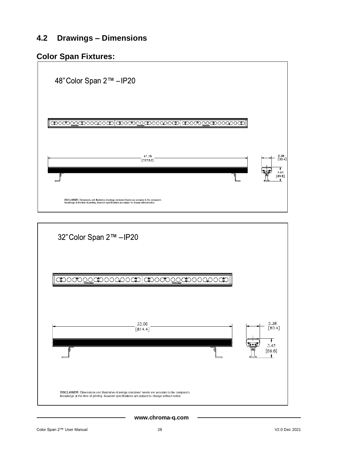## <span id="page-28-0"></span>**4.2 Drawings – Dimensions**

# **Color Span Fixtures:**



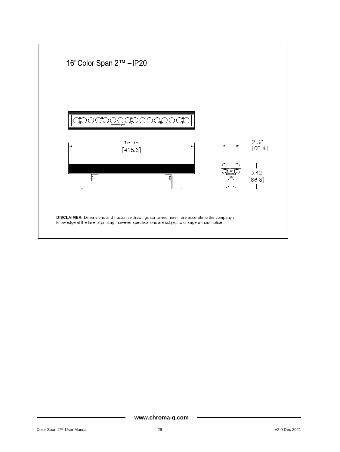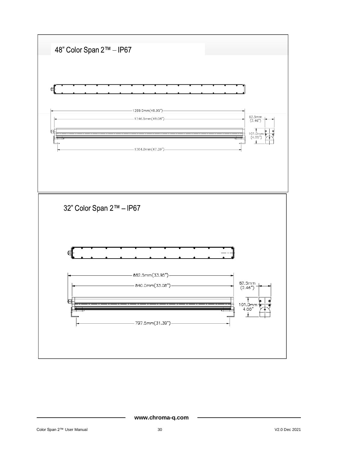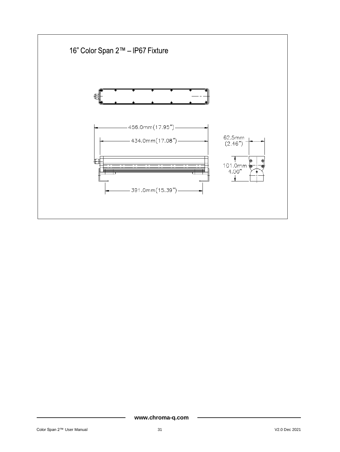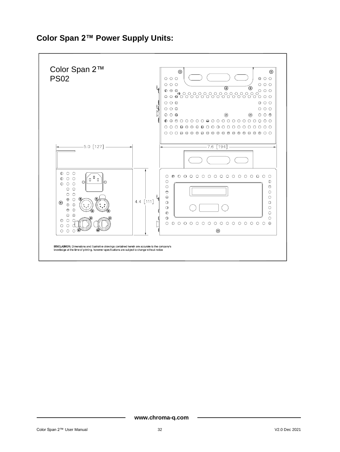

# **Color Span 2™ Power Supply Units:**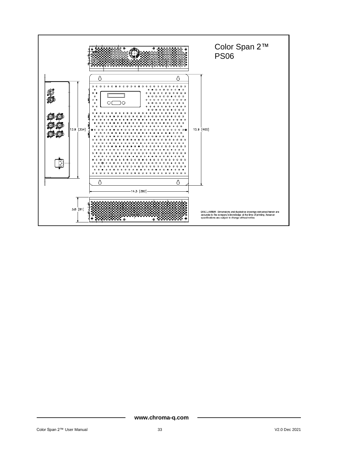

**www.chroma-q.com**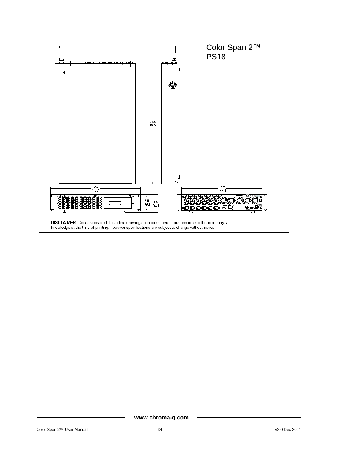